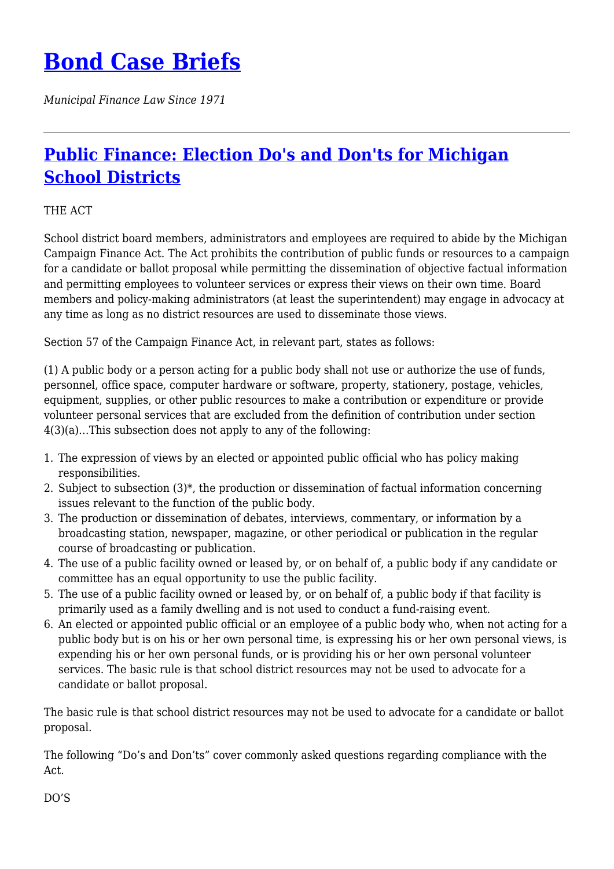# **[Bond Case Briefs](https://bondcasebriefs.com)**

*Municipal Finance Law Since 1971*

## **[Public Finance: Election Do's and Don'ts for Michigan](https://bondcasebriefs.com/2021/09/28/news/public-finance-election-dos-and-donts-for-michigan-school-districts/) [School Districts](https://bondcasebriefs.com/2021/09/28/news/public-finance-election-dos-and-donts-for-michigan-school-districts/)**

### THE ACT

School district board members, administrators and employees are required to abide by the Michigan Campaign Finance Act. The Act prohibits the contribution of public funds or resources to a campaign for a candidate or ballot proposal while permitting the dissemination of objective factual information and permitting employees to volunteer services or express their views on their own time. Board members and policy-making administrators (at least the superintendent) may engage in advocacy at any time as long as no district resources are used to disseminate those views.

Section 57 of the Campaign Finance Act, in relevant part, states as follows:

(1) A public body or a person acting for a public body shall not use or authorize the use of funds, personnel, office space, computer hardware or software, property, stationery, postage, vehicles, equipment, supplies, or other public resources to make a contribution or expenditure or provide volunteer personal services that are excluded from the definition of contribution under section 4(3)(a)…This subsection does not apply to any of the following:

- 1. The expression of views by an elected or appointed public official who has policy making responsibilities.
- 2. Subject to subsection (3)\*, the production or dissemination of factual information concerning issues relevant to the function of the public body.
- 3. The production or dissemination of debates, interviews, commentary, or information by a broadcasting station, newspaper, magazine, or other periodical or publication in the regular course of broadcasting or publication.
- 4. The use of a public facility owned or leased by, or on behalf of, a public body if any candidate or committee has an equal opportunity to use the public facility.
- 5. The use of a public facility owned or leased by, or on behalf of, a public body if that facility is primarily used as a family dwelling and is not used to conduct a fund-raising event.
- 6. An elected or appointed public official or an employee of a public body who, when not acting for a public body but is on his or her own personal time, is expressing his or her own personal views, is expending his or her own personal funds, or is providing his or her own personal volunteer services. The basic rule is that school district resources may not be used to advocate for a candidate or ballot proposal.

The basic rule is that school district resources may not be used to advocate for a candidate or ballot proposal.

The following "Do's and Don'ts" cover commonly asked questions regarding compliance with the Act.

DO'S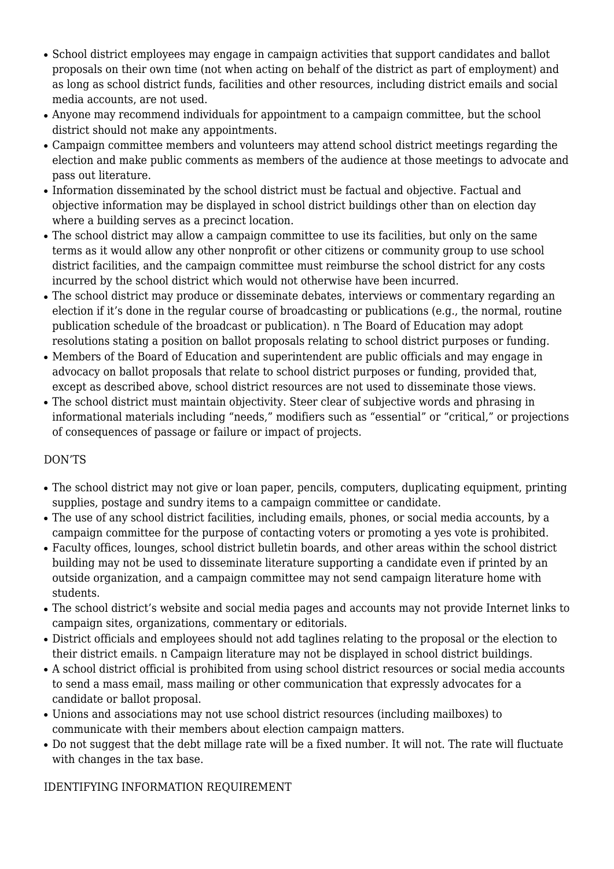- School district employees may engage in campaign activities that support candidates and ballot proposals on their own time (not when acting on behalf of the district as part of employment) and as long as school district funds, facilities and other resources, including district emails and social media accounts, are not used.
- Anyone may recommend individuals for appointment to a campaign committee, but the school district should not make any appointments.
- Campaign committee members and volunteers may attend school district meetings regarding the election and make public comments as members of the audience at those meetings to advocate and pass out literature.
- Information disseminated by the school district must be factual and objective. Factual and objective information may be displayed in school district buildings other than on election day where a building serves as a precinct location.
- The school district may allow a campaign committee to use its facilities, but only on the same terms as it would allow any other nonprofit or other citizens or community group to use school district facilities, and the campaign committee must reimburse the school district for any costs incurred by the school district which would not otherwise have been incurred.
- The school district may produce or disseminate debates, interviews or commentary regarding an election if it's done in the regular course of broadcasting or publications (e.g., the normal, routine publication schedule of the broadcast or publication). n The Board of Education may adopt resolutions stating a position on ballot proposals relating to school district purposes or funding.
- Members of the Board of Education and superintendent are public officials and may engage in advocacy on ballot proposals that relate to school district purposes or funding, provided that, except as described above, school district resources are not used to disseminate those views.
- The school district must maintain objectivity. Steer clear of subjective words and phrasing in informational materials including "needs," modifiers such as "essential" or "critical," or projections of consequences of passage or failure or impact of projects.

### DON'TS

- The school district may not give or loan paper, pencils, computers, duplicating equipment, printing supplies, postage and sundry items to a campaign committee or candidate.
- The use of any school district facilities, including emails, phones, or social media accounts, by a campaign committee for the purpose of contacting voters or promoting a yes vote is prohibited.
- Faculty offices, lounges, school district bulletin boards, and other areas within the school district building may not be used to disseminate literature supporting a candidate even if printed by an outside organization, and a campaign committee may not send campaign literature home with students.
- The school district's website and social media pages and accounts may not provide Internet links to campaign sites, organizations, commentary or editorials.
- District officials and employees should not add taglines relating to the proposal or the election to their district emails. n Campaign literature may not be displayed in school district buildings.
- A school district official is prohibited from using school district resources or social media accounts to send a mass email, mass mailing or other communication that expressly advocates for a candidate or ballot proposal.
- Unions and associations may not use school district resources (including mailboxes) to communicate with their members about election campaign matters.
- Do not suggest that the debt millage rate will be a fixed number. It will not. The rate will fluctuate with changes in the tax base.

### IDENTIFYING INFORMATION REQUIREMENT